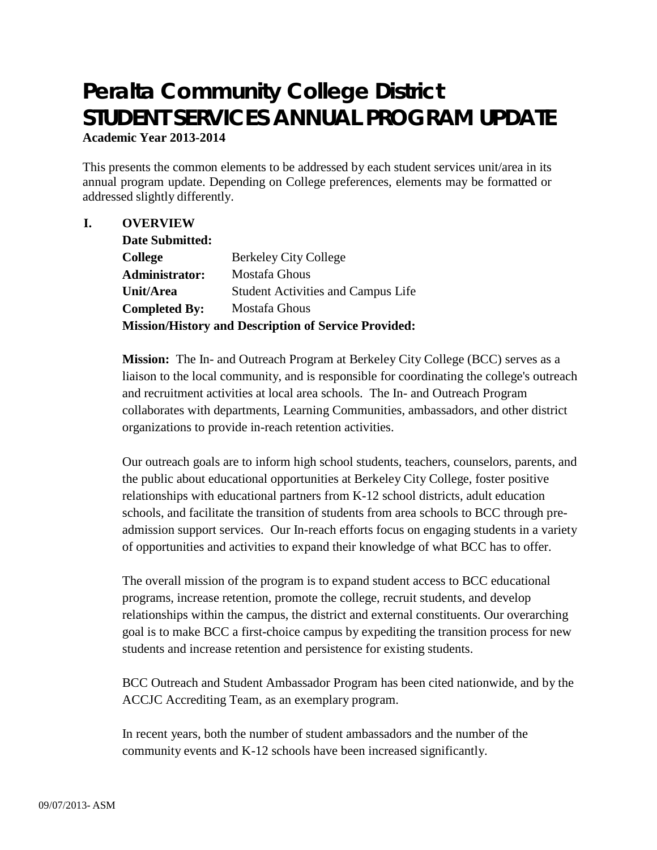# **Peralta Community College District STUDENT SERVICES ANNUAL PROGRAM UPDATE Academic Year 2013-2014**

This presents the common elements to be addressed by each student services unit/area in its annual program update. Depending on College preferences, elements may be formatted or addressed slightly differently.

# **I. OVERVIEW**

| Date Submitted:                                             |                                           |
|-------------------------------------------------------------|-------------------------------------------|
| <b>College</b>                                              | <b>Berkeley City College</b>              |
| Administrator:                                              | Mostafa Ghous                             |
| Unit/Area                                                   | <b>Student Activities and Campus Life</b> |
| <b>Completed By:</b>                                        | Mostafa Ghous                             |
| <b>Mission/History and Description of Service Provided:</b> |                                           |

**Mission:** The In- and Outreach Program at Berkeley City College (BCC) serves as a liaison to the local community, and is responsible for coordinating the college's outreach and recruitment activities at local area schools. The In- and Outreach Program collaborates with departments, Learning Communities, ambassadors, and other district organizations to provide in-reach retention activities.

Our outreach goals are to inform high school students, teachers, counselors, parents, and the public about educational opportunities at Berkeley City College, foster positive relationships with educational partners from K-12 school districts, adult education schools, and facilitate the transition of students from area schools to BCC through preadmission support services. Our In-reach efforts focus on engaging students in a variety of opportunities and activities to expand their knowledge of what BCC has to offer.

The overall mission of the program is to expand student access to BCC educational programs, increase retention, promote the college, recruit students, and develop relationships within the campus, the district and external constituents. Our overarching goal is to make BCC a first-choice campus by expediting the transition process for new students and increase retention and persistence for existing students.

BCC Outreach and Student Ambassador Program has been cited nationwide, and by the ACCJC Accrediting Team, as an exemplary program.

In recent years, both the number of student ambassadors and the number of the community events and K-12 schools have been increased significantly.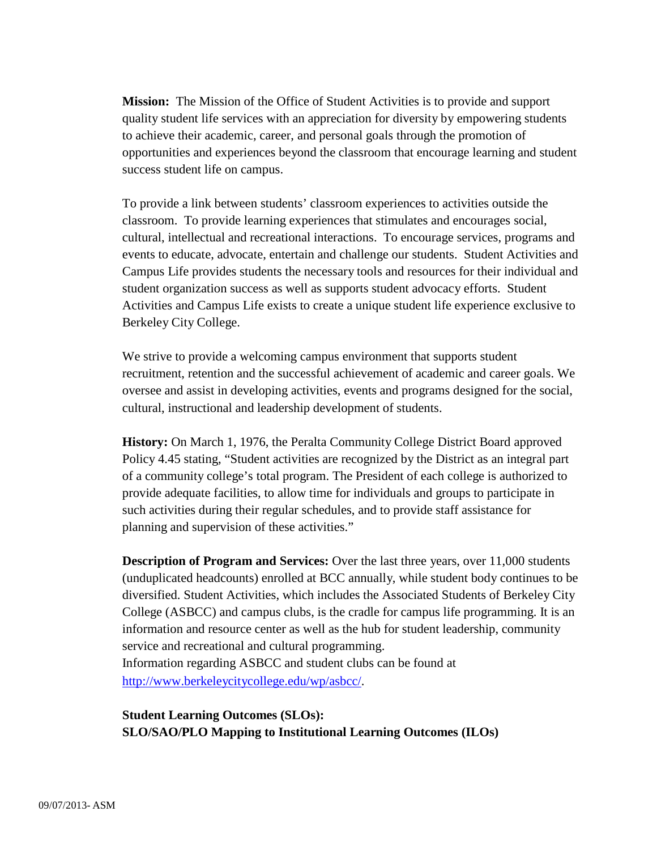**Mission:** The Mission of the Office of Student Activities is to provide and support quality student life services with an appreciation for diversity by empowering students to achieve their academic, career, and personal goals through the promotion of opportunities and experiences beyond the classroom that encourage learning and student success student life on campus.

To provide a link between students' classroom experiences to activities outside the classroom. To provide learning experiences that stimulates and encourages social, cultural, intellectual and recreational interactions. To encourage services, programs and events to educate, advocate, entertain and challenge our students. Student Activities and Campus Life provides students the necessary tools and resources for their individual and student organization success as well as supports student advocacy efforts. Student Activities and Campus Life exists to create a unique student life experience exclusive to Berkeley City College.

We strive to provide a welcoming campus environment that supports student recruitment, retention and the successful achievement of academic and career goals. We oversee and assist in developing activities, events and programs designed for the social, cultural, instructional and leadership development of students.

**History:** On March 1, 1976, the Peralta Community College District Board approved Policy 4.45 stating, "Student activities are recognized by the District as an integral part of a community college's total program. The President of each college is authorized to provide adequate facilities, to allow time for individuals and groups to participate in such activities during their regular schedules, and to provide staff assistance for planning and supervision of these activities."

**Description of Program and Services:** Over the last three years, over 11,000 students (unduplicated headcounts) enrolled at BCC annually, while student body continues to be diversified. Student Activities, which includes the Associated Students of Berkeley City College (ASBCC) and campus clubs, is the cradle for campus life programming. It is an information and resource center as well as the hub for student leadership, community service and recreational and cultural programming. Information regarding ASBCC and student clubs can be found at [http://www.berkeleycitycollege.edu/wp/asbcc/.](http://www.berkeleycitycollege.edu/wp/asbcc/)

**Student Learning Outcomes (SLOs): SLO/SAO/PLO Mapping to Institutional Learning Outcomes (ILOs)**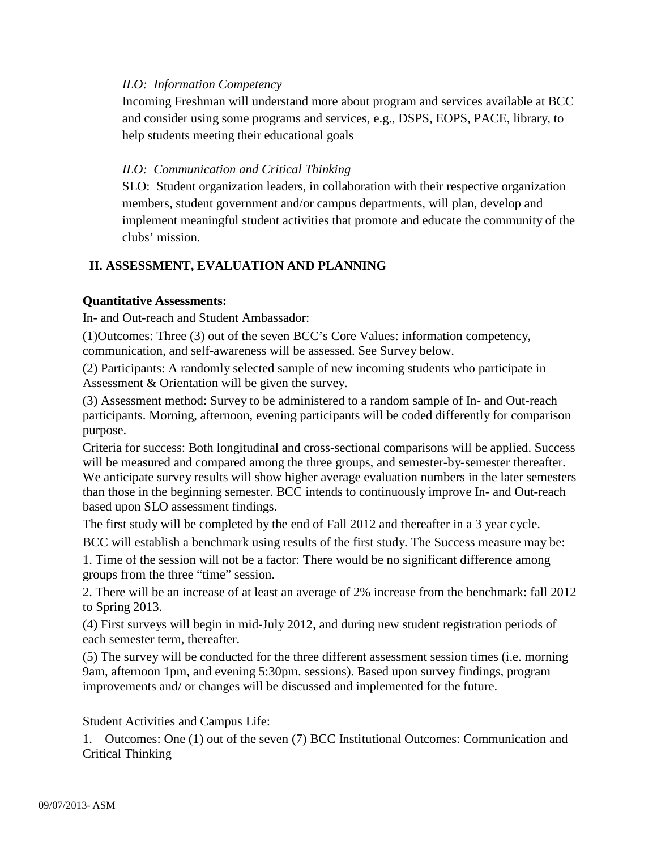## *ILO: Information Competency*

Incoming Freshman will understand more about program and services available at BCC and consider using some programs and services, e.g., DSPS, EOPS, PACE, library, to help students meeting their educational goals

## *ILO: Communication and Critical Thinking*

SLO: Student organization leaders, in collaboration with their respective organization members, student government and/or campus departments, will plan, develop and implement meaningful student activities that promote and educate the community of the clubs' mission.

# **II. ASSESSMENT, EVALUATION AND PLANNING**

## **Quantitative Assessments:**

In- and Out-reach and Student Ambassador:

(1)Outcomes: Three (3) out of the seven BCC's Core Values: information competency, communication, and self-awareness will be assessed. See Survey below.

(2) Participants: A randomly selected sample of new incoming students who participate in Assessment & Orientation will be given the survey.

(3) Assessment method: Survey to be administered to a random sample of In- and Out-reach participants. Morning, afternoon, evening participants will be coded differently for comparison purpose.

Criteria for success: Both longitudinal and cross-sectional comparisons will be applied. Success will be measured and compared among the three groups, and semester-by-semester thereafter. We anticipate survey results will show higher average evaluation numbers in the later semesters than those in the beginning semester. BCC intends to continuously improve In- and Out-reach based upon SLO assessment findings.

The first study will be completed by the end of Fall 2012 and thereafter in a 3 year cycle.

BCC will establish a benchmark using results of the first study. The Success measure may be:

1. Time of the session will not be a factor: There would be no significant difference among groups from the three "time" session.

2. There will be an increase of at least an average of 2% increase from the benchmark: fall 2012 to Spring 2013.

(4) First surveys will begin in mid-July 2012, and during new student registration periods of each semester term, thereafter.

(5) The survey will be conducted for the three different assessment session times (i.e. morning 9am, afternoon 1pm, and evening 5:30pm. sessions). Based upon survey findings, program improvements and/ or changes will be discussed and implemented for the future.

Student Activities and Campus Life:

1. Outcomes: One (1) out of the seven (7) BCC Institutional Outcomes: Communication and Critical Thinking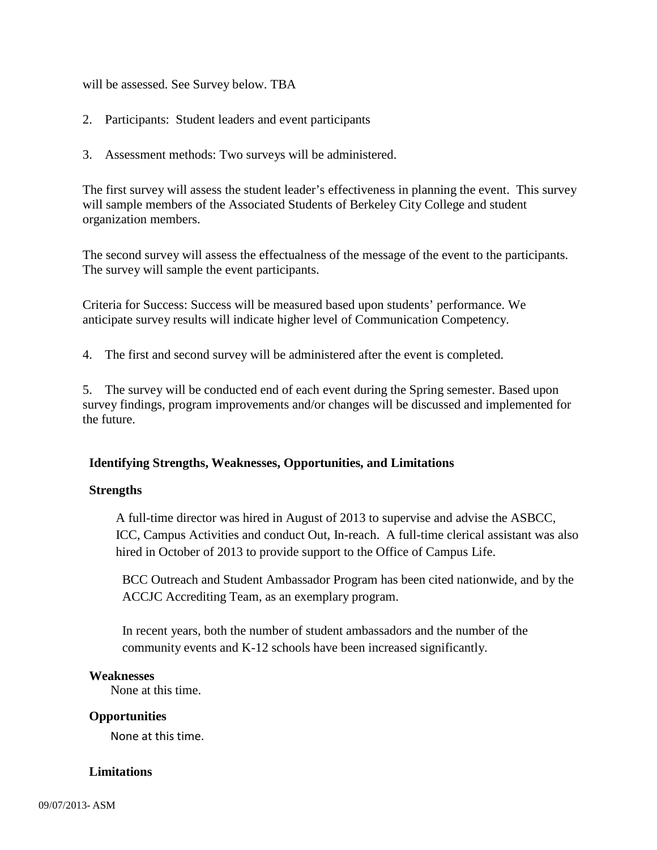will be assessed. See Survey below. TBA

- 2. Participants: Student leaders and event participants
- 3. Assessment methods: Two surveys will be administered.

The first survey will assess the student leader's effectiveness in planning the event. This survey will sample members of the Associated Students of Berkeley City College and student organization members.

The second survey will assess the effectualness of the message of the event to the participants. The survey will sample the event participants.

Criteria for Success: Success will be measured based upon students' performance. We anticipate survey results will indicate higher level of Communication Competency.

4. The first and second survey will be administered after the event is completed.

5. The survey will be conducted end of each event during the Spring semester. Based upon survey findings, program improvements and/or changes will be discussed and implemented for the future.

## **Identifying Strengths, Weaknesses, Opportunities, and Limitations**

#### **Strengths**

A full-time director was hired in August of 2013 to supervise and advise the ASBCC, ICC, Campus Activities and conduct Out, In-reach. A full-time clerical assistant was also hired in October of 2013 to provide support to the Office of Campus Life.

BCC Outreach and Student Ambassador Program has been cited nationwide, and by the ACCJC Accrediting Team, as an exemplary program.

In recent years, both the number of student ambassadors and the number of the community events and K-12 schools have been increased significantly.

#### **Weaknesses**

None at this time.

#### **Opportunities**

None at this time.

#### **Limitations**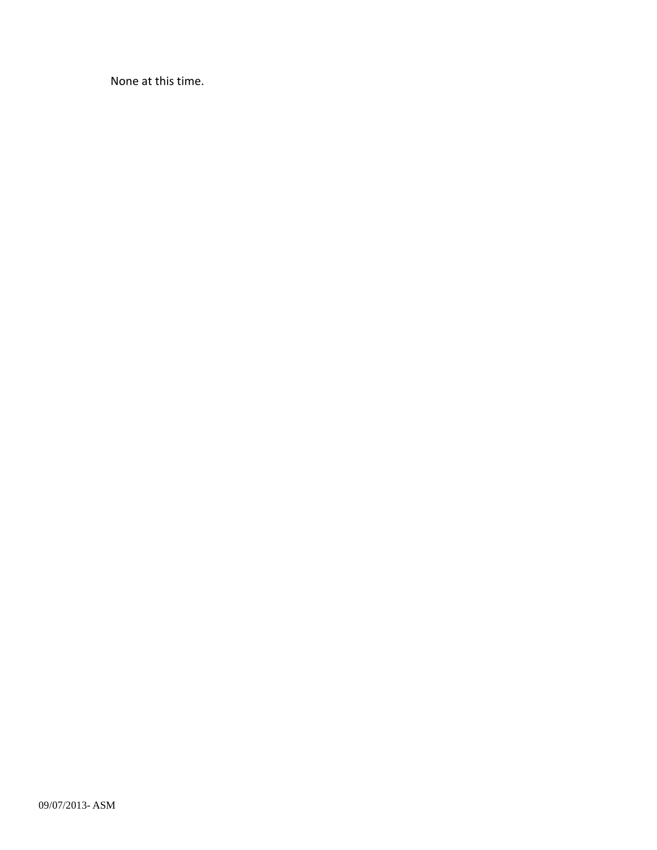None at this time.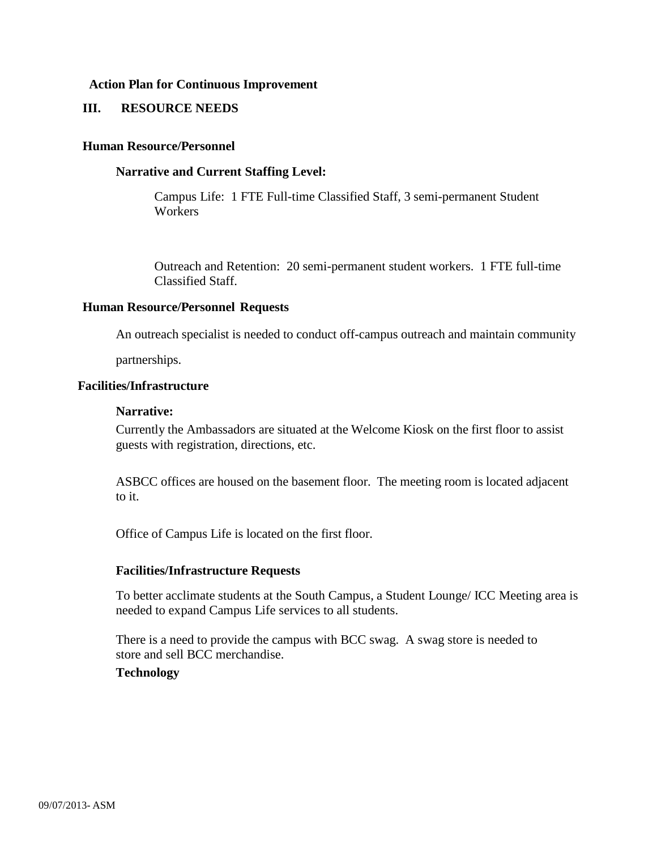#### **Action Plan for Continuous Improvement**

### **III. RESOURCE NEEDS**

#### **Human Resource/Personnel**

#### **Narrative and Current Staffing Level:**

Campus Life: 1 FTE Full-time Classified Staff, 3 semi-permanent Student **Workers** 

Outreach and Retention: 20 semi-permanent student workers. 1 FTE full-time Classified Staff.

## **Human Resource/Personnel Requests**

An outreach specialist is needed to conduct off-campus outreach and maintain community

partnerships.

## **Facilities/Infrastructure**

#### **Narrative:**

Currently the Ambassadors are situated at the Welcome Kiosk on the first floor to assist guests with registration, directions, etc.

ASBCC offices are housed on the basement floor. The meeting room is located adjacent to it.

Office of Campus Life is located on the first floor.

#### **Facilities/Infrastructure Requests**

To better acclimate students at the South Campus, a Student Lounge/ ICC Meeting area is needed to expand Campus Life services to all students.

There is a need to provide the campus with BCC swag. A swag store is needed to store and sell BCC merchandise.

# **Technology**